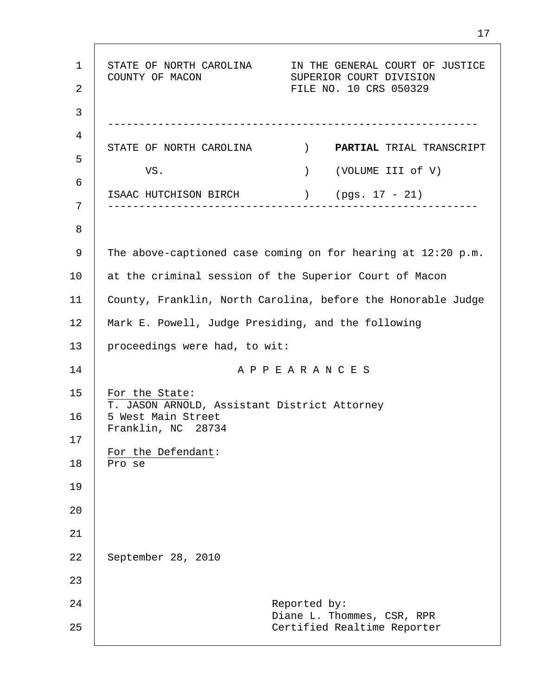1 2 3 4 5 6 7 8 9 10 11 12 13 14 15 16 17 18 19 20 21 22 23 24 25 STATE OF NORTH CAROLINA IN THE GENERAL COURT OF JUSTICE COUNTY OF MACON SUPERIOR COURT DIVISION FILE NO. 10 CRS 050329 ----------------------------------------------------------- STATE OF NORTH CAROLINA ) **PARTIAL** TRIAL TRANSCRIPT VS. ) (VOLUME III of V) ISAAC HUTCHISON BIRCH ) (pgs. 17 - 21) ----------------------------------------------------------- The above-captioned case coming on for hearing at 12:20 p.m. at the criminal session of the Superior Court of Macon County, Franklin, North Carolina, before the Honorable Judge Mark E. Powell, Judge Presiding, and the following proceedings were had, to wit: A P P E A R A N C E S For the State: T. JASON ARNOLD, Assistant District Attorney 5 West Main Street Franklin, NC 28734 For the Defendant: Pro se September 28, 2010 Reported by: Diane L. Thommes, CSR, RPR Certified Realtime Reporter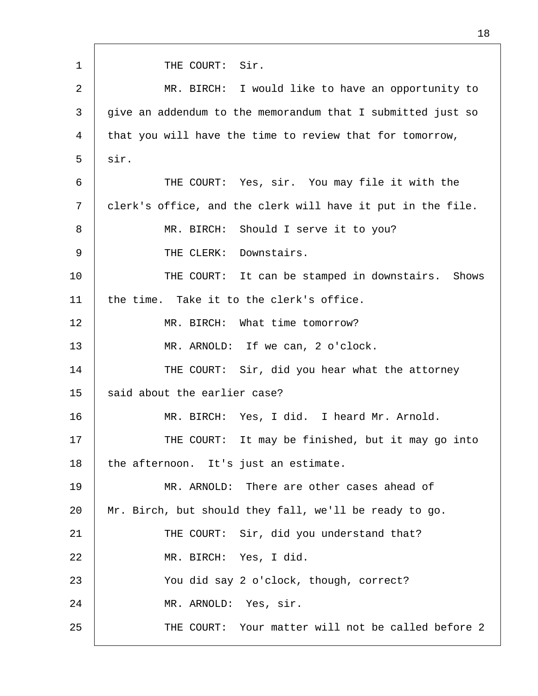1 2 3 4 5 6 7 8 9 10 11 12 13 14 15 16 17 18 19 20 21 22 23 24 25 THE COURT: Sir. MR. BIRCH: I would like to have an opportunity to give an addendum to the memorandum that I submitted just so that you will have the time to review that for tomorrow, sir. THE COURT: Yes, sir. You may file it with the clerk's office, and the clerk will have it put in the file. MR. BIRCH: Should I serve it to you? THE CLERK: Downstairs. THE COURT: It can be stamped in downstairs. Shows the time. Take it to the clerk's office. MR. BIRCH: What time tomorrow? MR. ARNOLD: If we can, 2 o'clock. THE COURT: Sir, did you hear what the attorney said about the earlier case? MR. BIRCH: Yes, I did. I heard Mr. Arnold. THE COURT: It may be finished, but it may go into the afternoon. It's just an estimate. MR. ARNOLD: There are other cases ahead of Mr. Birch, but should they fall, we'll be ready to go. THE COURT: Sir, did you understand that? MR. BIRCH: Yes, I did. You did say 2 o'clock, though, correct? MR. ARNOLD: Yes, sir. THE COURT: Your matter will not be called before 2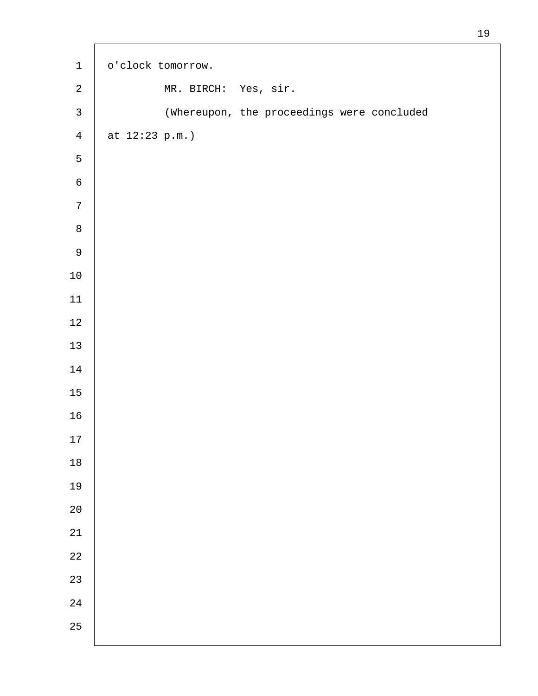| $\mathbf 1$    | o'clock tomorrow.                          |
|----------------|--------------------------------------------|
| $\sqrt{2}$     | MR. BIRCH: Yes, sir.                       |
| $\mathsf{3}$   | (Whereupon, the proceedings were concluded |
| $\overline{4}$ | at $12:23 p.m.$                            |
| $\mathsf S$    |                                            |
| $\epsilon$     |                                            |
| $\sqrt{ }$     |                                            |
| $\, 8$         |                                            |
| $\mathsf 9$    |                                            |
| $10\,$         |                                            |
| $11\,$         |                                            |
| $1\sqrt{2}$    |                                            |
| 13             |                                            |
| $14\,$         |                                            |
| $15\,$         |                                            |
| 16             |                                            |
| $17$           |                                            |
| $18\,$         |                                            |
| 19             |                                            |
| $20$           |                                            |
| 21             |                                            |
| 22             |                                            |
| 23             |                                            |
| 24             |                                            |
| 25             |                                            |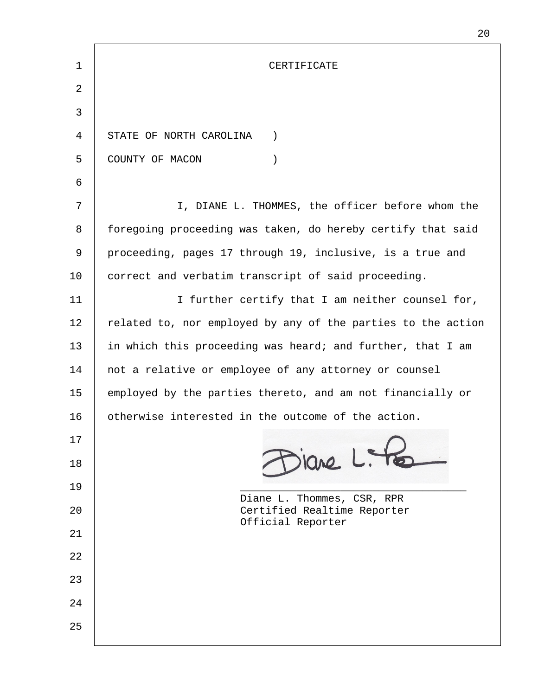| 1  | CERTIFICATE                                                  |  |
|----|--------------------------------------------------------------|--|
| 2  |                                                              |  |
| 3  |                                                              |  |
| 4  | STATE OF NORTH CAROLINA<br>$\left( \right)$                  |  |
| 5  | COUNTY OF MACON<br>$\mathcal{C}$                             |  |
| 6  |                                                              |  |
| 7  | I, DIANE L. THOMMES, the officer before whom the             |  |
| 8  | foregoing proceeding was taken, do hereby certify that said  |  |
| 9  | proceeding, pages 17 through 19, inclusive, is a true and    |  |
| 10 | correct and verbatim transcript of said proceeding.          |  |
| 11 | I further certify that I am neither counsel for,             |  |
| 12 | related to, nor employed by any of the parties to the action |  |
| 13 | in which this proceeding was heard; and further, that I am   |  |
| 14 | not a relative or employee of any attorney or counsel        |  |
| 15 | employed by the parties thereto, and am not financially or   |  |
| 16 | otherwise interested in the outcome of the action.           |  |
| 17 |                                                              |  |
| 18 | iane L. Te                                                   |  |
| 19 | Diane L. Thommes, CSR, RPR                                   |  |
| 20 | Certified Realtime Reporter<br>Official Reporter             |  |
| 21 |                                                              |  |
| 22 |                                                              |  |
| 23 |                                                              |  |
| 24 |                                                              |  |
| 25 |                                                              |  |